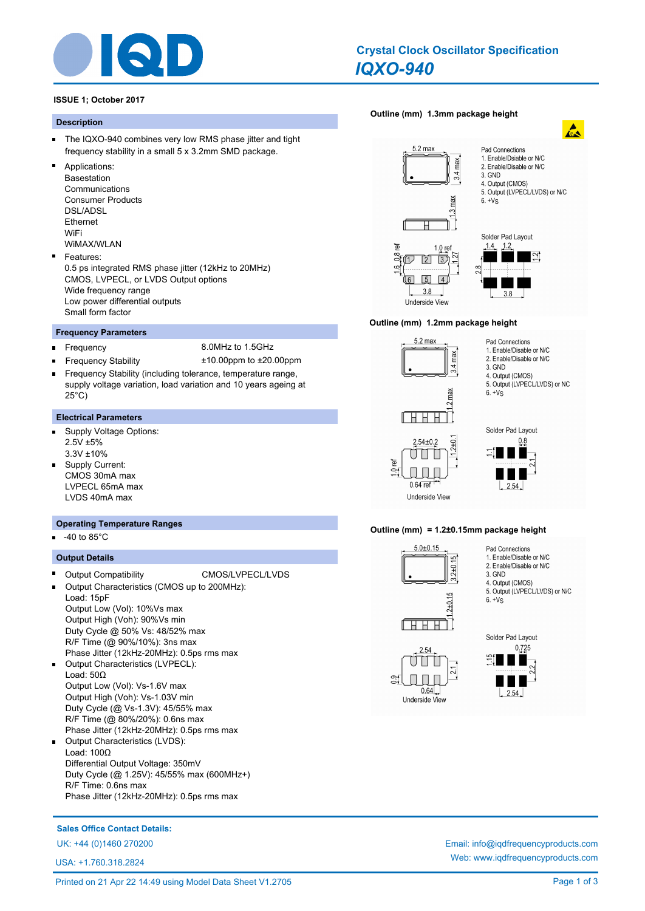

# *IQXO-940* **Crystal Clock Oscillator Specification**

# **ISSUE 1; October 2017**

#### **Description**

- $\blacksquare$ The IQXO-940 combines very low RMS phase jitter and tight frequency stability in a small 5 x 3.2mm SMD package.
- Applications: Basestation Communications Consumer Products DSL/ADSL Ethernet WiFi WiMAX/WLAN
- Features: 0.5 ps integrated RMS phase jitter (12kHz to 20MHz) CMOS, LVPECL, or LVDS Output options Wide frequency range Low power differential outputs Small form factor

#### **Frequency Parameters**

 $\blacksquare$ 

- Frequency 8.0MHz to 1.5GHz
- Frequency Stability ±10.00ppm to ±20.00ppm
- Frequency Stability (including tolerance, temperature range, supply voltage variation, load variation and 10 years ageing at 25°C)

#### **Electrical Parameters**

- Supply Voltage Options:  $\blacksquare$ 2.5V ±5% 3.3V ±10%
- Supply Current: CMOS 30mA max LVPECL 65mA max LVDS 40mA max

#### **Operating Temperature Ranges**

-40 to 85°C

#### **Output Details**

- Output Compatibility CMOS/LVPECL/LVDS Output Characteristics (CMOS up to 200MHz): Load: 15pF Output Low (Vol): 10%Vs max Output High (Voh): 90%Vs min Duty Cycle @ 50% Vs: 48/52% max R/F Time (@ 90%/10%): 3ns max Phase Jitter (12kHz-20MHz): 0.5ps rms max
- $\blacksquare$ Output Characteristics (LVPECL): Load: 50Ω Output Low (Vol): Vs-1.6V max Output High (Voh): Vs-1.03V min Duty Cycle (@ Vs-1.3V): 45/55% max R/F Time (@ 80%/20%): 0.6ns max Phase Jitter (12kHz-20MHz): 0.5ps rms max
- $\blacksquare$ Output Characteristics (LVDS): Load: 100Ω Differential Output Voltage: 350mV Duty Cycle (@ 1.25V): 45/55% max (600MHz+) R/F Time: 0.6ns max Phase Jitter (12kHz-20MHz): 0.5ps rms max

# **[Outline \(mm\) 1.3mm package height](http://www.iqdfrequencyproducts.com/products/search/?type=crystal-clock-oscillator&model=IQXO-940)**







 $2.54 \pm 0.2$ 

 $\cup$ 

 $0.64$  ref

**Underside View** 

ď



Pad Connections 1. Enable/Disable or N/C

3. GND 4. Output (CMOS) 5. Output (LVPECL/LVDS) or NC

 $6. + Vs$ 

2. Enable/Disable or N/C

#### **Outline (mm) = 1.2±0.15mm package height**

 $2 + 0$ Ш



- Pad Connections 1. Enable/Disable or N/C
- 2. Enable/Disable or N/C
- 3. GND 4. Output (CMOS)
- 
- 5. Output (LVPECL/LVDS) or N/C  $6. + Vs$



 $0.64$ 

Underside View

း

≅

Solder Pad Layout  $0.725$  $2.54$ 

**Sales Office Contact Details:**

UK: +44 (0)1460 270200 Email: info@iqdfrequencyproducts.com

USA: +1.760.318.2824

Web: www.iqdfrequencyproducts.com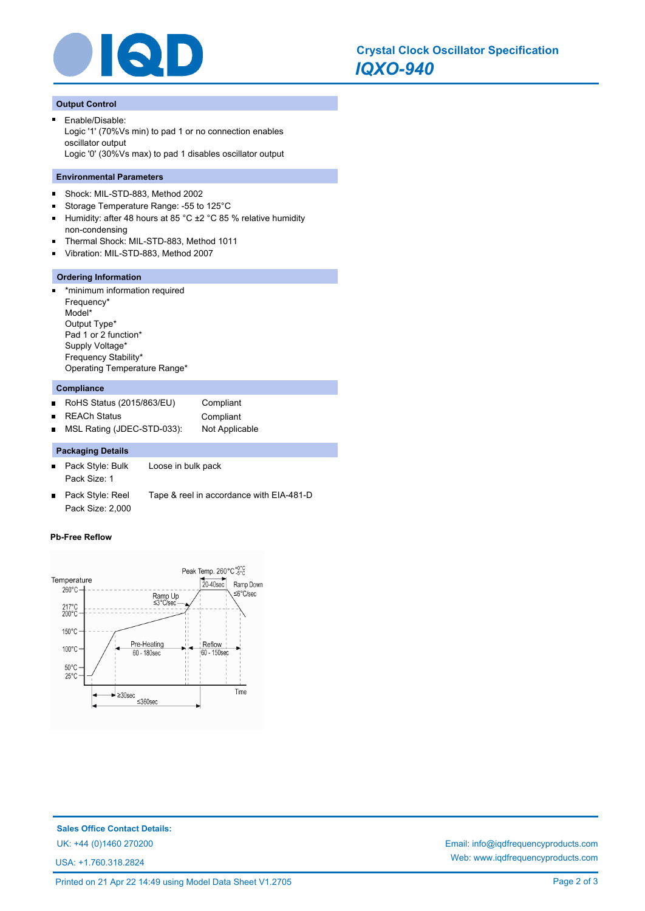

# **Output Control**

Enable/Disable: Logic '1' (70%Vs min) to pad 1 or no connection enables oscillator output Logic '0' (30%Vs max) to pad 1 disables oscillator output

#### **Environmental Parameters**

- $\blacksquare$ Shock: MIL-STD-883, Method 2002
- Storage Temperature Range: -55 to 125°C  $\blacksquare$
- $\blacksquare$ Humidity: after 48 hours at 85 °C ±2 °C 85 % relative humidity non-condensing
- Thermal Shock: MIL-STD-883, Method 1011
- Vibration: MIL-STD-883, Method 2007  $\blacksquare$

#### **Ordering Information**

\*minimum information required ä. Frequency\* Model\* Output Type\* Pad 1 or 2 function\* Supply Voltage\* Frequency Stability\* Operating Temperature Range\*

# **Compliance**

RoHS Status (2015/863/EU) Compliant  $\blacksquare$ REACh Status **Compliant**  $\blacksquare$ MSL Rating (JDEC-STD-033): Not Applicable  $\blacksquare$ 

# **Packaging Details**

- Pack Style: Bulk Loose in bulk pack  $\blacksquare$ Pack Size: 1
- Pack Style: Reel Tape & reel in accordance with EIA-481-D  $\blacksquare$ Pack Size: 2,000

#### **Pb-Free Reflow**



**Sales Office Contact Details:** UK: +44 (0)1460 270200 Email: info@iqdfrequencyproducts.com

USA: +1.760.318.2824

Web: www.iqdfrequencyproducts.com